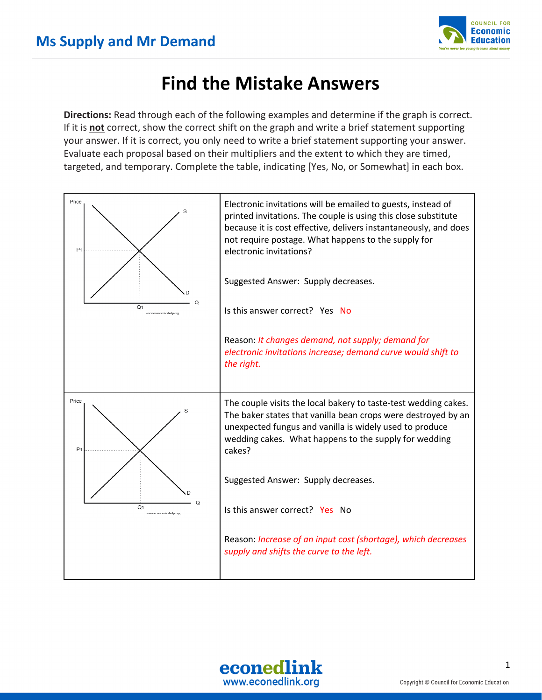

## **Find the Mistake Answers**

**Directions:** Read through each of the following examples and determine if the graph is correct. If it is **not** correct, show the correct shift on the graph and write a brief statement supporting your answer. If it is correct, you only need to write a brief statement supporting your answer. Evaluate each proposal based on their multipliers and the extent to which they are timed, targeted, and temporary. Complete the table, indicating [Yes, No, or Somewhat] in each box.